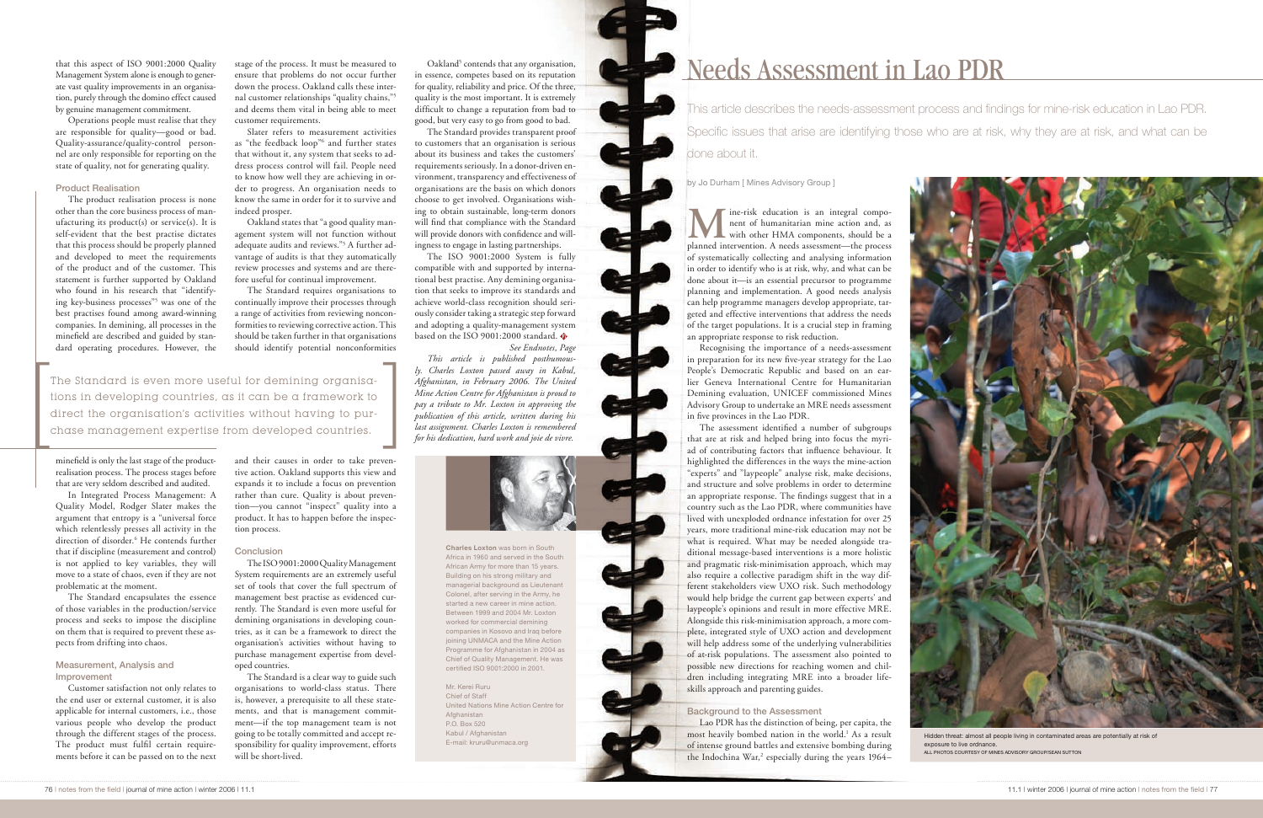# Needs Assessment in Lao PDR

This article describes the needs-assessment process and findings for mine-risk education in Lao PDR. Specific issues that arise are identifying those who are at risk, why they are at risk, and what can be done about it.

by Jo Durham [ Mines Advisory Group ]

**M** ine-risk education is an integral component of humanitarian mine action and, as<br>with other HMA components, should be a<br>planned intervention A needs assessment—the process nent of humanitarian mine action and, as with other HMA components, should be a planned intervention. A needs assessment—the process of systematically collecting and analysing information in order to identify who is at risk, why, and what can be done about it—is an essential precursor to programme planning and implementation. A good needs analysis can help programme managers develop appropriate, targeted and effective interventions that address the needs of the target populations. It is a crucial step in framing an appropriate response to risk reduction.

Recognising the importance of a needs-assessment in preparation for its new five-year strategy for the Lao People's Democratic Republic and based on an earlier Geneva International Centre for Humanitarian Demining evaluation, UNICEF commissioned Mines Advisory Group to undertake an MRE needs assessment in five provinces in the Lao PDR.

The assessment identified a number of subgroups that are at risk and helped bring into focus the myriad of contributing factors that influence behaviour. It highlighted the differences in the ways the mine-action "experts" and "laypeople" analyse risk, make decisions, and structure and solve problems in order to determine an appropriate response. The findings suggest that in a country such as the Lao PDR, where communities have lived with unexploded ordnance infestation for over 25 years, more traditional mine-risk education may not be what is required. What may be needed alongside traditional message-based interventions is a more holistic and pragmatic risk-minimisation approach, which may also require a collective paradigm shift in the way different stakeholders view UXO risk. Such methodology would help bridge the current gap between experts' and laypeople's opinions and result in more effective MRE. Alongside this risk-minimisation approach, a more complete, integrated style of UXO action and development will help address some of the underlying vulnerabilities of at-risk populations. The assessment also pointed to possible new directions for reaching women and children including integrating MRE into a broader lifeskills approach and parenting guides.

## Background to the Assessment

Lao PDR has the distinction of being, per capita, the most heavily bombed nation in the world.<sup>1</sup> As a result of intense ground battles and extensive bombing during the Indochina War,<sup>2</sup> especially during the years 1964–



Hidden threat: almost all people living in contaminated areas are potentially at risk of exposure to live ordnance. ALL PHOTOS COURTESY OF MINES ADVISORY GROUP/SEAN SUTTON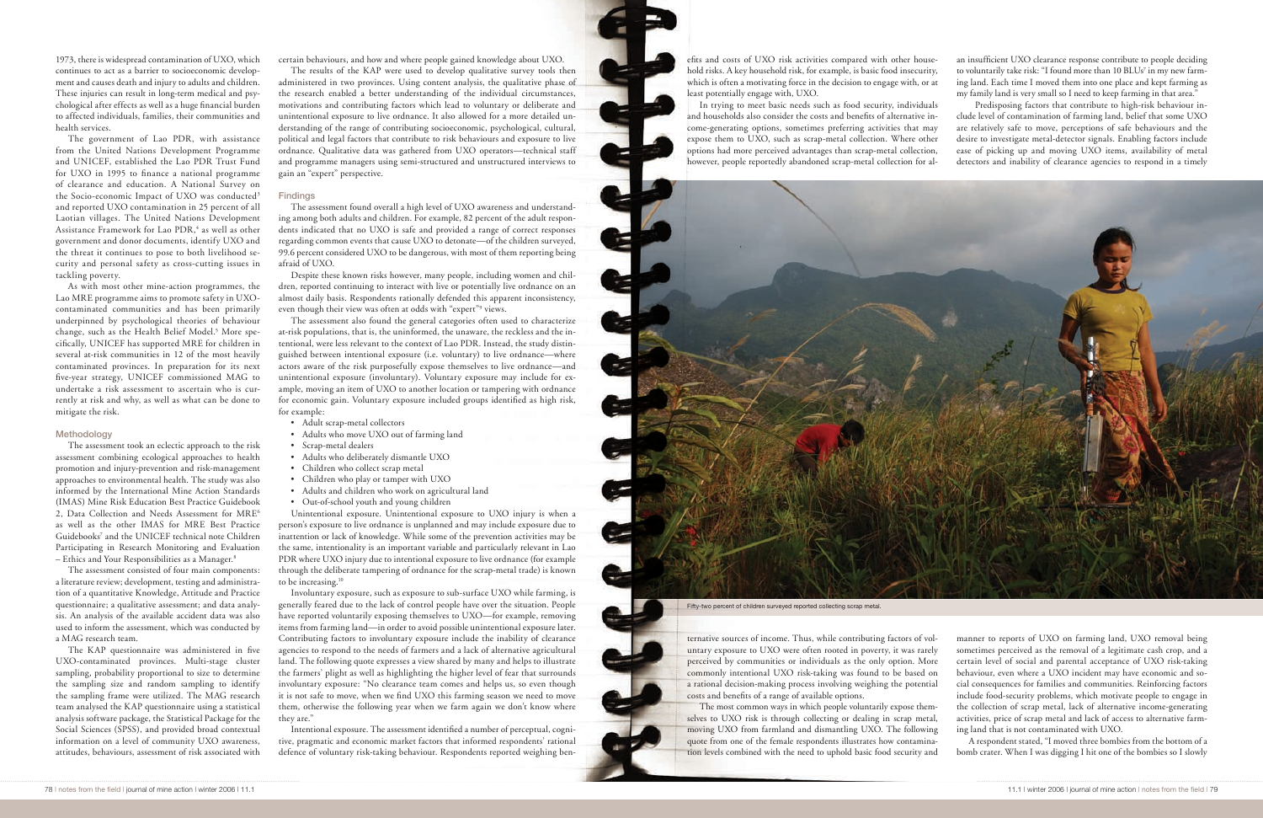1973, there is widespread contamination of UXO, which continues to act as a barrier to socioeconomic development and causes death and injury to adults and children. These injuries can result in long-term medical and psychological after effects as well as a huge financial burden to affected individuals, families, their communities and health services.

The government of Lao PDR, with assistance from the United Nations Development Programme and UNICEF, established the Lao PDR Trust Fund for UXO in 1995 to finance a national programme of clearance and education. A National Survey on the Socio-economic Impact of UXO was conducted<sup>3</sup> and reported UXO contamination in 25 percent of all Laotian villages. The United Nations Development Assistance Framework for Lao PDR,<sup>4</sup> as well as other government and donor documents, identify UXO and the threat it continues to pose to both livelihood security and personal safety as cross-cutting issues in tackling poverty.

As with most other mine-action programmes, the Lao MRE programme aims to promote safety in UXOcontaminated communities and has been primarily underpinned by psychological theories of behaviour change, such as the Health Belief Model.<sup>5</sup> More specifically, UNICEF has supported MRE for children in several at-risk communities in 12 of the most heavily contaminated provinces. In preparation for its next five-year strategy, UNICEF commissioned MAG to undertake a risk assessment to ascertain who is currently at risk and why, as well as what can be done to mitigate the risk.

### **Methodology**

The assessment took an eclectic approach to the risk assessment combining ecological approaches to health promotion and injury-prevention and risk-management approaches to environmental health. The study was also informed by the International Mine Action Standards (IMAS) Mine Risk Education Best Practice Guidebook 2, Data Collection and Needs Assessment for MRE<sup>6</sup> as well as the other IMAS for MRE Best Practice Guidebooks<sup>7</sup> and the UNICEF technical note Children Participating in Research Monitoring and Evaluation – Ethics and Your Responsibilities as a Manager.8

Despite these known risks however, many people, including women and children, reported continuing to interact with live or potentially live ordnance on an almost daily basis. Respondents rationally defended this apparent inconsistency, even though their view was often at odds with "expert"<sup>9</sup> views.

The assessment consisted of four main components: a literature review; development, testing and administration of a quantitative Knowledge, Attitude and Practice questionnaire; a qualitative assessment; and data analysis. An analysis of the available accident data was also used to inform the assessment, which was conducted by a MAG research team.

The KAP questionnaire was administered in five UXO-contaminated provinces. Multi-stage cluster sampling, probability proportional to size to determine the sampling size and random sampling to identify the sampling frame were utilized. The MAG research team analysed the KAP questionnaire using a statistical analysis software package, the Statistical Package for the Social Sciences (SPSS), and provided broad contextual information on a level of community UXO awareness, attitudes, behaviours, assessment of risk associated with

certain behaviours, and how and where people gained knowledge about UXO.

The results of the KAP were used to develop qualitative survey tools then administered in two provinces. Using content analysis, the qualitative phase of the research enabled a better understanding of the individual circumstances, motivations and contributing factors which lead to voluntary or deliberate and unintentional exposure to live ordnance. It also allowed for a more detailed understanding of the range of contributing socioeconomic, psychological, cultural, political and legal factors that contribute to risk behaviours and exposure to live ordnance. Qualitative data was gathered from UXO operators—technical staff and programme managers using semi-structured and unstructured interviews to gain an "expert" perspective.

#### **Findings**

The assessment found overall a high level of UXO awareness and understanding among both adults and children. For example, 82 percent of the adult respondents indicated that no UXO is safe and provided a range of correct responses regarding common events that cause UXO to detonate—of the children surveyed, 99.6 percent considered UXO to be dangerous, with most of them reporting being afraid of UXO.

Predisposing factors that contribute to high-risk behaviour include level of contamination of farming land, belief that some UXO are relatively safe to move, perceptions of safe behaviours and the desire to investigate metal-detector signals. Enabling factors include ease of picking up and moving UXO items, availability of metal detectors and inability of clearance agencies to respond in a timely

The assessment also found the general categories often used to characterize at-risk populations, that is, the uninformed, the unaware, the reckless and the intentional, were less relevant to the context of Lao PDR. Instead, the study distinguished between intentional exposure (i.e. voluntary) to live ordnance—where actors aware of the risk purposefully expose themselves to live ordnance—and unintentional exposure (involuntary). Voluntary exposure may include for example, moving an item of UXO to another location or tampering with ordnance for economic gain. Voluntary exposure included groups identified as high risk, for example:

- Adult scrap-metal collectors
- Adults who move UXO out of farming land
- Scrap-metal dealers
- Adults who deliberately dismantle UXO
- Children who collect scrap metal
- Children who play or tamper with UXO
- Adults and children who work on agricultural land
- Out-of-school youth and young children

Unintentional exposure. Unintentional exposure to UXO injury is when a person's exposure to live ordnance is unplanned and may include exposure due to inattention or lack of knowledge. While some of the prevention activities may be the same, intentionality is an important variable and particularly relevant in Lao PDR where UXO injury due to intentional exposure to live ordnance (for example through the deliberate tampering of ordnance for the scrap-metal trade) is known to be increasing.10

Involuntary exposure, such as exposure to sub-surface UXO while farming, is generally feared due to the lack of control people have over the situation. People have reported voluntarily exposing themselves to UXO—for example, removing items from farming land—in order to avoid possible unintentional exposure later. Contributing factors to involuntary exposure include the inability of clearance agencies to respond to the needs of farmers and a lack of alternative agricultural land. The following quote expresses a view shared by many and helps to illustrate the farmers' plight as well as highlighting the higher level of fear that surrounds involuntary exposure: "No clearance team comes and helps us, so even though it is not safe to move, when we find UXO this farming season we need to move them, otherwise the following year when we farm again we don't know where they are."

Intentional exposure. The assessment identified a number of perceptual, cognitive, pragmatic and economic market factors that informed respondents' rational defence of voluntary risk-taking behaviour. Respondents reported weighing ben-

efits and costs of UXO risk activities compared with other household risks. A key household risk, for example, is basic food insecurity, which is often a motivating force in the decision to engage with, or at least potentially engage with, UXO.

In trying to meet basic needs such as food security, individuals and households also consider the costs and benefits of alternative income-generating options, sometimes preferring activities that may expose them to UXO, such as scrap-metal collection. Where other options had more perceived advantages than scrap-metal collection, however, people reportedly abandoned scrap-metal collection for al-



ternative sources of income. Thus, while contributing factors of voluntary exposure to UXO were often rooted in poverty, it was rarely perceived by communities or individuals as the only option. More commonly intentional UXO risk-taking was found to be based on a rational decision-making process involving weighing the potential costs and benefits of a range of available options.

The most common ways in which people voluntarily expose themselves to UXO risk is through collecting or dealing in scrap metal, moving UXO from farmland and dismantling UXO. The following quote from one of the female respondents illustrates how contamination levels combined with the need to uphold basic food security and

an insufficient UXO clearance response contribute to people deciding to voluntarily take risk: "I found more than  $10$  BLUs $\mathrm{^\mathrm{7}}$  in my new farming land. Each time I moved them into one place and kept farming as my family land is very small so I need to keep farming in that area."

manner to reports of UXO on farming land, UXO removal being sometimes perceived as the removal of a legitimate cash crop, and a certain level of social and parental acceptance of UXO risk-taking behaviour, even where a UXO incident may have economic and social consequences for families and communities. Reinforcing factors

include food-security problems, which motivate people to engage in the collection of scrap metal, lack of alternative income-generating activities, price of scrap metal and lack of access to alternative farming land that is not contaminated with UXO.

A respondent stated, "I moved three bombies from the bottom of a bomb crater. When I was digging I hit one of the bombies so I slowly

Fifty-two percent of children surveyed reported collecting scrap metal.